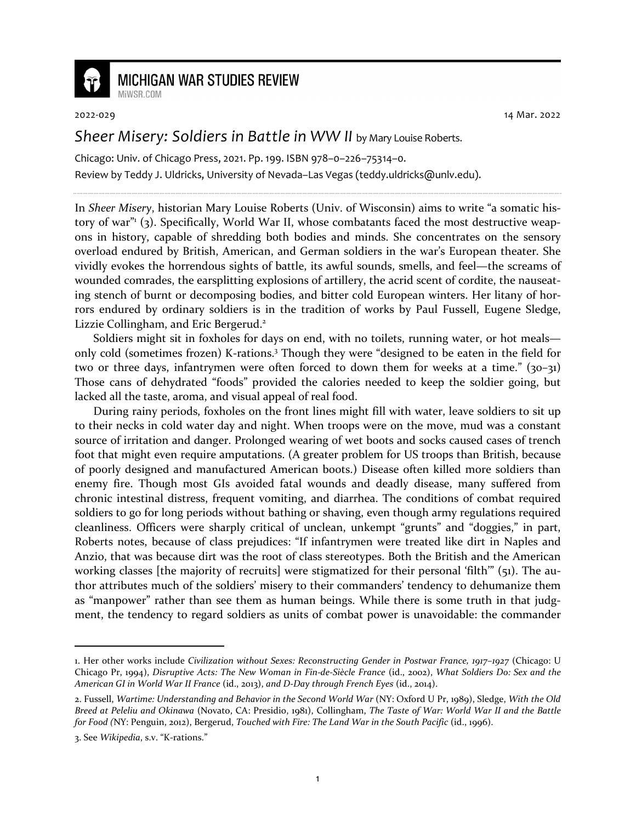

## **MICHIGAN WAR STUDIES REVIEW**

MiWSR COM

2022-029 14 Mar. 2022

## *Sheer Misery: Soldiers in Battle in WW II* by Mary Louise Roberts.

Chicago: Univ. of Chicago Press, 2021. Pp. 199. ISBN 978–0–226–75314–0. Review by Teddy J. Uldricks, University of Nevada–Las Vegas (teddy.uldricks@unlv.edu).

In *Sheer Misery*, historian Mary Louise Roberts (Univ. of Wisconsin) aims to write "a somatic history of war" (3). Specifically, World War II, whose combatants faced the most destructive weapons in history, capable of shredding both bodies and minds. She concentrates on the sensory overload endured by British, American, and German soldiers in the war's European theater. She vividly evokes the horrendous sights of battle, its awful sounds, smells, and feel—the screams of wounded comrades, the earsplitting explosions of artillery, the acrid scent of cordite, the nauseating stench of burnt or decomposing bodies, and bitter cold European winters. Her litany of horrors endured by ordinary soldiers is in the tradition of works by Paul Fussell, Eugene Sledge, Lizzie Collingham, and Eric Bergerud.<sup>2</sup>

Soldiers might sit in foxholes for days on end, with no toilets, running water, or hot meals only cold (sometimes frozen) K-rations.<sup>3</sup> Though they were "designed to be eaten in the field for two or three days, infantrymen were often forced to down them for weeks at a time." (30-31) Those cans of dehydrated "foods" provided the calories needed to keep the soldier going, but lacked all the taste, aroma, and visual appeal of real food.

During rainy periods, foxholes on the front lines might fill with water, leave soldiers to sit up to their necks in cold water day and night. When troops were on the move, mud was a constant source of irritation and danger. Prolonged wearing of wet boots and socks caused cases of trench foot that might even require amputations. (A greater problem for US troops than British, because of poorly designed and manufactured American boots.) Disease often killed more soldiers than enemy fire. Though most GIs avoided fatal wounds and deadly disease, many suffered from chronic intestinal distress, frequent vomiting, and diarrhea. The conditions of combat required soldiers to go for long periods without bathing or shaving, even though army regulations required cleanliness. Officers were sharply critical of unclean, unkempt "grunts" and "doggies," in part, Roberts notes, because of class prejudices: "If infantrymen were treated like dirt in Naples and Anzio, that was because dirt was the root of class stereotypes. Both the British and the American working classes [the majority of recruits] were stigmatized for their personal 'filth'" (51). The author attributes much of the soldiers' misery to their commanders' tendency to dehumanize them as "manpower" rather than see them as human beings. While there is some truth in that judgment, the tendency to regard soldiers as units of combat power is unavoidable: the commander

<sup>1.</sup> Her other works include *Civilization without Sexes: Reconstructing Gender in Postwar France, 1917–1927* (Chicago: U Chicago Pr, 1994), *Disruptive Acts: The New Woman in Fin-de-Siècle France* (id., 2002), *What Soldiers Do: Sex and the American GI in World War II France* (id., 2013), *and D-Day through French Eyes* (id., 2014).

<sup>2.</sup> Fussell, *Wartime: Understanding and Behavior in the Second World War* (NY: Oxford U Pr, 1989), Sledge, *With the Old Breed at Peleliu and Okinawa* (Novato, CA: Presidio, 1981), Collingham, *The Taste of War: World War II and the Battle for Food (*NY: Penguin, 2012), Bergerud, *Touched with Fire: The Land War in the South Pacific* (id., 1996).

<sup>3.</sup> See *Wikipedia*, s.v. "K-rations."